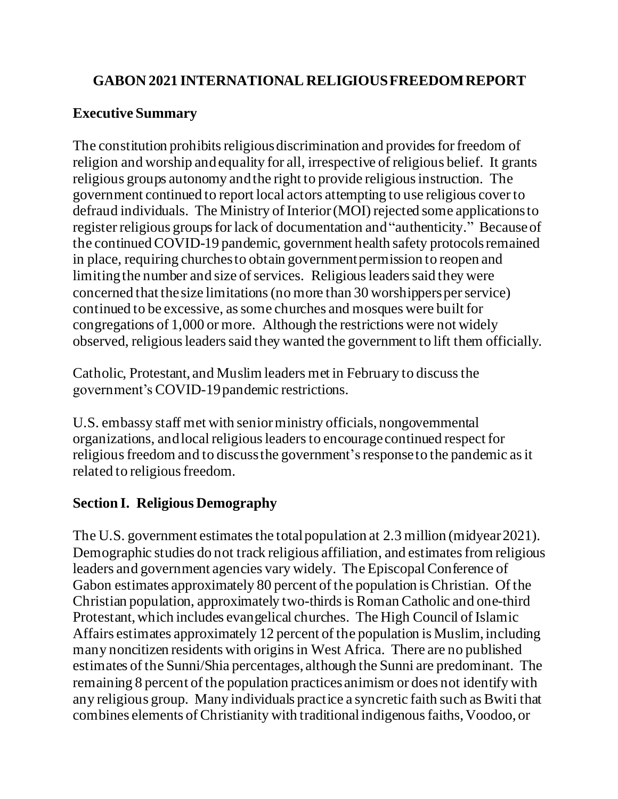# **GABON 2021 INTERNATIONAL RELIGIOUS FREEDOM REPORT**

# **Executive Summary**

The constitution prohibits religious discrimination and provides for freedom of religion and worship and equality for all, irrespective of religious belief. It grants religious groups autonomy and the right to provide religious instruction. The government continued to report local actors attempting to use religious cover to defraud individuals. The Ministry of Interior (MOI) rejected some applications to register religious groups for lack of documentation and "authenticity." Because of the continued COVID-19 pandemic, government health safety protocolsremained in place, requiring churches to obtain government permission to reopen and limitingthe number and size of services. Religious leaders said they were concerned that the size limitations (no more than 30 worshippers per service) continued to be excessive, as some churches and mosques were built for congregations of 1,000 or more. Although the restrictions were not widely observed, religious leaders said they wanted the government to lift them officially.

Catholic, Protestant, and Muslim leaders met in February to discuss the government's COVID-19 pandemic restrictions.

U.S. embassy staff met with senior ministry officials, nongovernmental organizations, and local religious leaders to encourage continued respect for religious freedom and to discuss the government'sresponse to the pandemic as it related to religious freedom.

# **Section I. Religious Demography**

The U.S. government estimates the total population at 2.3 million (midyear2021). Demographic studies do not track religious affiliation, and estimates from religious leaders and government agencies vary widely. The Episcopal Conference of Gabon estimates approximately 80 percent of the population is Christian. Of the Christian population, approximately two-thirds is Roman Catholic and one-third Protestant, which includes evangelical churches. The High Council of Islamic Affairs estimates approximately 12 percent of the population is Muslim, including many noncitizen residents with origins in West Africa. There are no published estimates of the Sunni/Shia percentages, although the Sunni are predominant. The remaining 8 percent of the population practices animism or does not identify with any religious group. Many individuals practice a syncretic faith such as Bwiti that combines elements of Christianity with traditional indigenous faiths, Voodoo, or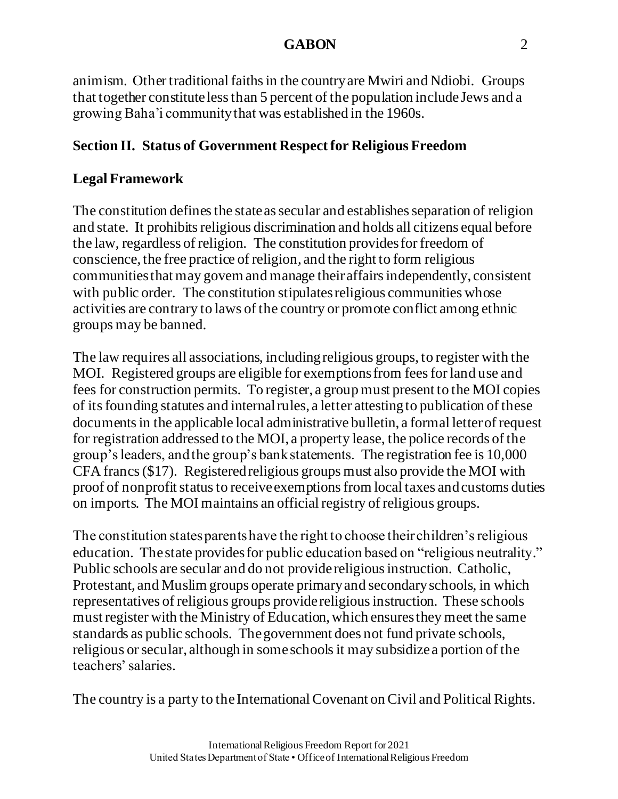#### **GABON** 2

animism. Other traditional faiths in the country are Mwiri and Ndiobi. Groups that together constitute less than 5 percent of the population include Jews and a growing Baha'i community that was established in the 1960s.

### **Section II. Status of Government Respect for Religious Freedom**

#### **Legal Framework**

The constitution defines the state as secular and establishes separation of religion and state. It prohibits religious discrimination and holds all citizens equal before the law, regardless of religion. The constitution provides for freedom of conscience, the free practice of religion, and the right to form religious communitiesthat may govern and manage their affairs independently, consistent with public order. The constitution stipulates religious communities whose activities are contrary to laws of the country or promote conflict among ethnic groups may be banned.

The law requires all associations, including religious groups, to register with the MOI. Registered groups are eligible for exemptions from fees for land use and fees for construction permits. To register, a group must present to the MOI copies of its founding statutes and internal rules, a letter attesting to publication of these documents in the applicable local administrative bulletin, a formal letter of request for registration addressed to the MOI, a property lease, the police records of the group's leaders, and the group's bank statements. The registration fee is 10,000 CFA francs (\$17). Registered religious groups must also provide the MOI with proof of nonprofit status to receive exemptions from local taxes and customs duties on imports. The MOI maintains an official registry of religious groups.

The constitution states parents have the right to choose their children's religious education. The state provides for public education based on "religious neutrality." Public schools are secular and do not provide religious instruction. Catholic, Protestant, and Muslim groups operate primary and secondary schools, in which representatives of religious groups provide religious instruction. These schools must register with the Ministry of Education, which ensures they meet the same standards as public schools. The government does not fund private schools, religious or secular, although in some schools it may subsidize a portion of the teachers' salaries.

The country is a party to the International Covenant on Civil and Political Rights.